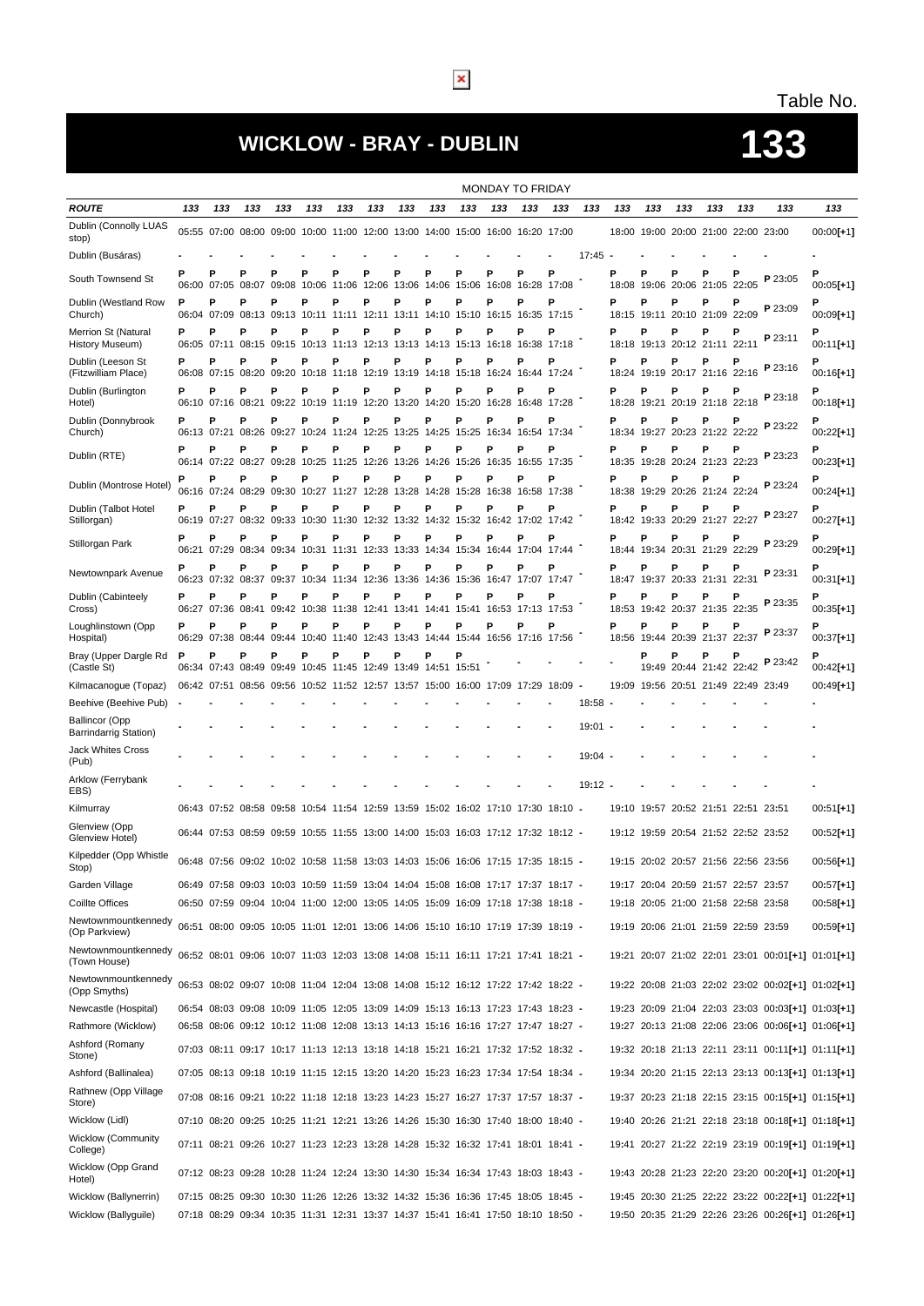# **WICKLOW - BRAY - DUBLIN 133**

# Table No.

|                                                |     |                        |                        |                                                                                    |                                                                  |             |                               |             |            |                                                            | MONDAY TO FRIDAY  |     |                                                            |           |            |                  |            |                                     |            |         |                                                   |
|------------------------------------------------|-----|------------------------|------------------------|------------------------------------------------------------------------------------|------------------------------------------------------------------|-------------|-------------------------------|-------------|------------|------------------------------------------------------------|-------------------|-----|------------------------------------------------------------|-----------|------------|------------------|------------|-------------------------------------|------------|---------|---------------------------------------------------|
| <b>ROUTE</b>                                   | 133 | 133                    | 133                    | 133                                                                                | 133                                                              | 133         | 133                           | 133         | 133        | 133                                                        | 133               | 133 | 133                                                        | 133       | 133        | 133              | 133        | 133                                 | 133        | 133     | 133                                               |
| Dublin (Connolly LUAS<br>stop)                 |     |                        |                        | 05:55 07:00 08:00 09:00 10:00 11:00 12:00 13:00 14:00 15:00 16:00 16:20 17:00      |                                                                  |             |                               |             |            |                                                            |                   |     |                                                            |           |            |                  |            | 18:00 19:00 20:00 21:00 22:00 23:00 |            |         | $00:00$ [+1]                                      |
| Dublin (Busáras)                               |     |                        |                        |                                                                                    |                                                                  |             |                               |             |            |                                                            |                   |     |                                                            | 17:45     |            |                  |            |                                     |            |         |                                                   |
| South Townsend St                              | P   | P                      | Р<br>06:00 07:05 08:07 | P<br>09:08                                                                         | Р<br>10:06                                                       | P           | Р<br>11:06 12:06              | Р<br>13:06  | Р<br>14:06 | P<br>15:06                                                 | Р                 | P   | P<br>16:08 16:28 17:08                                     |           | Ρ          | P                | P          | Ρ<br>18:08 19:06 20:06 21:05 22:05  | Р          | P 23:05 | Ρ<br>$00:05[+1]$                                  |
| Dublin (Westland Row<br>Church)                | P   | Р<br>06:04 07:09       | P<br>08:13             | P<br>09:13                                                                         | P                                                                | P           | Р                             | P           | P          | P                                                          | P                 | P   | P<br>10:11 11:11 12:11 13:11 14:10 15:10 16:15 16:35 17:15 |           | P          | Р<br>18:15 19:11 | P          | Ρ<br>20:10 21:09 22:09              | Р          | P 23:09 | 00:09[+1]                                         |
| Merrion St (Natural<br>History Museum)         | P   | Р                      | Ρ                      | Р<br>06:05 07:11 08:15 09:15 10:13 11:13 12:13 13:13 14:13 15:13 16:18 16:38 17:18 | Р                                                                | Р           | P                             | P           | Р          | Р                                                          | Р                 | Р   | Р                                                          |           | Р          | P                | P          | Ρ<br>18:18 19:13 20:12 21:11 22:11  |            | P 23:11 | 00:11[+1]                                         |
| Dublin (Leeson St<br>(Fitzwilliam Place)       | P   | Р                      | Р<br>06:08 07:15 08:20 | P<br>09:20                                                                         | P<br>10:18                                                       |             | P<br>11:18 12:19 13:19        | Р           | Ρ<br>14:18 | P                                                          | P                 | P   | P<br>15:18 16:24 16:44 17:24                               |           | Ρ          | Р                | Ρ          | Ρ<br>18:24 19:19 20:17 21:16 22:16  |            | P 23:16 | $00:16[+1]$                                       |
| Dublin (Burlington<br>Hotel)                   | P   | P<br>06:10 07:16 08:21 | Ρ                      | Р<br>09:22                                                                         | Р<br>10:19                                                       | P           | P<br>11:19 12:20 13:20        | P           | Р<br>14:20 | P<br>15:20                                                 | Р<br>16:28        | P   | P<br>16:48 17:28                                           |           | P<br>18:28 | Р<br>19:21       | P<br>20:19 | Ρ<br>21:18                          | Р<br>22:18 | P 23:18 | Ρ<br>00:18[+1]                                    |
| Dublin (Donnybrook<br>Church)                  | P   | Р                      | Р                      | P<br>06:13 07:21 08:26 09:27                                                       | P<br>10:24 11:24 12:25                                           | P           | P                             | Р<br>13:25  | P<br>14:25 | P<br>15:25                                                 | Р                 | P   | P<br>16:34 16:54 17:34                                     |           | P          | Р                | P          | Ρ<br>18:34 19:27 20:23 21:22 22:22  |            | P 23:22 | $00:22[+1]$                                       |
| Dublin (RTE)                                   | P   | P<br>06:14 07:22 08:27 | P                      | P<br>09:28                                                                         | P<br>10:25                                                       | Р           | P<br>11:25 12:26              | P<br>13:26  | P<br>14:26 | P<br>15:26                                                 | Р                 | P   | P<br>16:35 16:55 17:35                                     |           | Ρ          | P                | P          | Ρ<br>18:35 19:28 20:24 21:23 22:23  | P          | P 23:23 | Ρ<br>$00:23[+1]$                                  |
| Dublin (Montrose Hotel)                        |     | Р                      | P<br>06:16 07:24 08:29 | P                                                                                  | Р<br>09:30 10:27 11:27 12:28 13:28 14:28 15:28 16:38 16:58 17:38 | P           | Р                             | P           | P          | P                                                          | P                 | P   | P                                                          |           | P          | P                | P          | Ρ<br>18:38 19:29 20:26 21:24 22:24  | Р          | P 23:24 | $00:24[+1]$                                       |
| Dublin (Talbot Hotel<br>Stillorgan)            | P   | Р                      | P                      | P<br>06:19 07:27 08:32 09:33                                                       | P                                                                | P           | P                             | P           | P          | P<br>10:30 11:30 12:32 13:32 14:32 15:32 16:42 17:02 17:42 | P                 | P   | P                                                          |           | P          | P                | P          | Ρ<br>18:42 19:33 20:29 21:27        | 22:27      | P 23:27 | $00:27 + 11$                                      |
| Stillorgan Park                                | P   | Р                      | Р<br>06:21 07:29 08:34 | P                                                                                  | Р<br>09:34 10:31 11:31 12:33 13:33 14:34 15:34 16:44 17:04 17:44 | P           | P                             | Ρ           | P          | P                                                          | P                 | P   | P                                                          |           | Ρ          | Р                | P          | Ρ<br>18:44 19:34 20:31 21:29        | 22:29      | P 23:29 | P<br>$00:29[+1]$                                  |
| Newtownpark Avenue                             | P   | Р                      | Ρ<br>06:23 07:32 08:37 | P                                                                                  | P<br>09:37 10:34 11:34 12:36 13:36                               | Р           | P                             | P           | P<br>14:36 | P                                                          | P                 | P   | P<br>15:36 16:47 17:07 17:47                               |           | P          | Р                | P          | Ρ<br>18:47 19:37 20:33 21:31 22:31  |            | P 23:31 | 00:31[+1]                                         |
| Dublin (Cabinteely<br>Cross)                   | P   | P<br>06:27 07:36       | P<br>08:41             | P<br>09:42                                                                         | P<br>10:38                                                       | P<br>11:38  | P<br>12:41                    | P<br>13:41  | P<br>14:41 | P<br>15:41                                                 | P                 | P   | P<br>16:53 17:13 17:53                                     |           | P          | P<br>18:53 19:42 | P<br>20:37 | P<br>21:35                          | Р<br>22:35 | P 23:35 | Ρ<br>$00:35[+1]$                                  |
| Loughlinstown (Opp<br>Hospital)                | P   | Р                      | P<br>06:29 07:38 08:44 | P<br>09:44                                                                         | P                                                                | P           | P                             | Ρ           | Р          | P<br>10:40 11:40 12:43 13:43 14:44 15:44 16:56 17:16 17:56 | P                 | P   | P                                                          |           | Ρ          | P                | P          | Ρ<br>18:56 19:44 20:39 21:37        | Р<br>22:37 | P 23:37 | $00:37[+1]$                                       |
| Bray (Upper Dargle Rd<br>(Castle St)           | P   | P<br>06:34 07:43       | Ρ<br>08:49             | P<br>09:49                                                                         | P                                                                | Р           | P<br>10:45 11:45 12:49 13:49  | P           | P          | Р<br>14:51 15:51                                           |                   |     |                                                            |           |            | P                | P          | Ρ<br>19:49 20:44 21:42 22:42        |            | P 23:42 | $00:42[+1]$                                       |
| Kilmacanogue (Topaz)                           |     |                        |                        | 06:42 07:51 08:56 09:56                                                            |                                                                  |             | 10:52 11:52 12:57 13:57 15:00 |             |            |                                                            | 16:00 17:09 17:29 |     | 18:09                                                      |           | 19:09      |                  |            | 19:56 20:51 21:49 22:49 23:49       |            |         | 00:49[+1]                                         |
| Beehive (Beehive Pub)                          |     |                        |                        |                                                                                    |                                                                  |             |                               |             |            |                                                            |                   |     |                                                            | 18:58     |            |                  |            |                                     |            |         |                                                   |
| <b>Ballincor (Opp</b><br>Barrindarrig Station) |     |                        |                        |                                                                                    |                                                                  |             |                               |             |            |                                                            |                   |     |                                                            | $19:01 -$ |            |                  |            |                                     |            |         |                                                   |
| Jack Whites Cross<br>(Pub)                     |     |                        |                        |                                                                                    |                                                                  |             |                               |             |            |                                                            |                   |     |                                                            | $19:04 -$ |            |                  |            |                                     |            |         |                                                   |
| Arklow (Ferrybank<br>EBS)                      |     |                        |                        |                                                                                    |                                                                  |             |                               |             |            |                                                            |                   |     |                                                            | $19:12 -$ |            |                  |            |                                     |            |         |                                                   |
| Kilmurray                                      |     |                        |                        | 06:43 07:52 08:58 09:58                                                            |                                                                  |             | 10:54 11:54 12:59 13:59       |             |            |                                                            |                   |     | 15:02 16:02 17:10 17:30 18:10 -                            |           |            |                  |            | 19:10 19:57 20:52 21:51 22:51 23:51 |            |         | $00:51[+1]$                                       |
| Glenview (Opp<br>Glenview Hotel)               |     |                        |                        | 06:44 07:53 08:59 09:59                                                            |                                                                  | 10:55 11:55 |                               | 13:00 14:00 | 15:03      |                                                            | 16:03 17:12 17:32 |     | 18:12 -                                                    |           |            | 19:12 19:59      |            | 20:54 21:52 22:52 23:52             |            |         | 00:52[+1]                                         |
| Kilpedder (Opp Whistle<br>Stop)                |     |                        |                        | 06:48 07:56 09:02 10:02 10:58 11:58 13:03 14:03 15:06 16:06 17:15 17:35 18:15 -    |                                                                  |             |                               |             |            |                                                            |                   |     |                                                            |           |            |                  |            | 19:15 20:02 20:57 21:56 22:56 23:56 |            |         | 00:56[+1]                                         |
| Garden Village                                 |     |                        |                        | 06:49 07:58 09:03 10:03 10:59 11:59 13:04 14:04 15:08 16:08 17:17 17:37 18:17 -    |                                                                  |             |                               |             |            |                                                            |                   |     |                                                            |           |            |                  |            | 19:17 20:04 20:59 21:57 22:57 23:57 |            |         | 00:57[+1]                                         |
| Coillte Offices                                |     |                        |                        | 06:50 07:59 09:04 10:04 11:00 12:00 13:05 14:05 15:09 16:09 17:18 17:38 18:18 -    |                                                                  |             |                               |             |            |                                                            |                   |     |                                                            |           |            |                  |            | 19:18 20:05 21:00 21:58 22:58 23:58 |            |         | $00:58[+1]$                                       |
| Newtownmountkennedy<br>(Op Parkview)           |     |                        |                        | 06:51 08:00 09:05 10:05 11:01 12:01 13:06 14:06 15:10 16:10 17:19 17:39 18:19 -    |                                                                  |             |                               |             |            |                                                            |                   |     |                                                            |           |            |                  |            | 19:19 20:06 21:01 21:59 22:59 23:59 |            |         | $00:59[+1]$                                       |
| Newtownmountkennedy<br>(Town House)            |     |                        |                        | 06:52 08:01 09:06 10:07 11:03 12:03 13:08 14:08 15:11 16:11 17:21 17:41 18:21 -    |                                                                  |             |                               |             |            |                                                            |                   |     |                                                            |           |            |                  |            |                                     |            |         | 19:21 20:07 21:02 22:01 23:01 00:01[+1] 01:01[+1] |
| Newtownmountkennedy<br>(Opp Smyths)            |     |                        |                        | 06:53 08:02 09:07 10:08 11:04 12:04 13:08 14:08 15:12 16:12 17:22 17:42 18:22 -    |                                                                  |             |                               |             |            |                                                            |                   |     |                                                            |           |            |                  |            |                                     |            |         | 19:22 20:08 21:03 22:02 23:02 00:02[+1] 01:02[+1] |
| Newcastle (Hospital)                           |     |                        |                        | 06:54 08:03 09:08 10:09 11:05 12:05 13:09 14:09 15:13 16:13 17:23 17:43 18:23 -    |                                                                  |             |                               |             |            |                                                            |                   |     |                                                            |           |            |                  |            |                                     |            |         | 19:23 20:09 21:04 22:03 23:03 00:03[+1] 01:03[+1] |
| Rathmore (Wicklow)                             |     |                        |                        | 06:58 08:06 09:12 10:12 11:08 12:08 13:13 14:13 15:16 16:16 17:27 17:47 18:27 -    |                                                                  |             |                               |             |            |                                                            |                   |     |                                                            |           |            |                  |            |                                     |            |         | 19:27 20:13 21:08 22:06 23:06 00:06[+1] 01:06[+1] |
| Ashford (Romany<br>Stone)                      |     |                        |                        | 07:03 08:11 09:17 10:17 11:13 12:13 13:18 14:18 15:21 16:21 17:32 17:52 18:32 -    |                                                                  |             |                               |             |            |                                                            |                   |     |                                                            |           |            |                  |            |                                     |            |         | 19:32 20:18 21:13 22:11 23:11 00:11[+1] 01:11[+1] |
| Ashford (Ballinalea)                           |     |                        |                        | 07:05 08:13 09:18 10:19 11:15 12:15 13:20 14:20 15:23 16:23 17:34 17:54 18:34 -    |                                                                  |             |                               |             |            |                                                            |                   |     |                                                            |           |            |                  |            |                                     |            |         | 19:34 20:20 21:15 22:13 23:13 00:13[+1] 01:13[+1] |
| Rathnew (Opp Village<br>Store)                 |     |                        |                        | 07:08 08:16 09:21 10:22 11:18 12:18 13:23 14:23 15:27 16:27 17:37 17:57 18:37 -    |                                                                  |             |                               |             |            |                                                            |                   |     |                                                            |           |            |                  |            |                                     |            |         | 19:37 20:23 21:18 22:15 23:15 00:15[+1] 01:15[+1] |
| Wicklow (Lidl)                                 |     |                        |                        | 07:10 08:20 09:25 10:25 11:21 12:21 13:26 14:26 15:30 16:30 17:40 18:00 18:40 -    |                                                                  |             |                               |             |            |                                                            |                   |     |                                                            |           |            |                  |            |                                     |            |         | 19:40 20:26 21:21 22:18 23:18 00:18[+1] 01:18[+1] |
| <b>Wicklow (Community</b><br>College)          |     |                        |                        | 07:11 08:21 09:26 10:27 11:23 12:23 13:28 14:28 15:32 16:32 17:41 18:01 18:41 -    |                                                                  |             |                               |             |            |                                                            |                   |     |                                                            |           |            |                  |            |                                     |            |         | 19:41 20:27 21:22 22:19 23:19 00:19[+1] 01:19[+1] |
| <b>Wicklow (Opp Grand</b><br>Hotel)            |     |                        |                        | 07:12 08:23 09:28 10:28 11:24 12:24 13:30 14:30 15:34 16:34 17:43 18:03 18:43 -    |                                                                  |             |                               |             |            |                                                            |                   |     |                                                            |           |            |                  |            |                                     |            |         | 19:43 20:28 21:23 22:20 23:20 00:20[+1] 01:20[+1] |
| Wicklow (Ballynerrin)                          |     |                        |                        | 07:15 08:25 09:30 10:30 11:26 12:26 13:32 14:32 15:36 16:36 17:45 18:05 18:45 -    |                                                                  |             |                               |             |            |                                                            |                   |     |                                                            |           |            |                  |            |                                     |            |         | 19:45 20:30 21:25 22:22 23:22 00:22[+1] 01:22[+1] |
| Wicklow (Ballyguile)                           |     |                        |                        | 07:18 08:29 09:34 10:35 11:31 12:31 13:37 14:37 15:41 16:41 17:50 18:10 18:50 -    |                                                                  |             |                               |             |            |                                                            |                   |     |                                                            |           |            |                  |            |                                     |            |         | 19:50 20:35 21:29 22:26 23:26 00:26[+1] 01:26[+1] |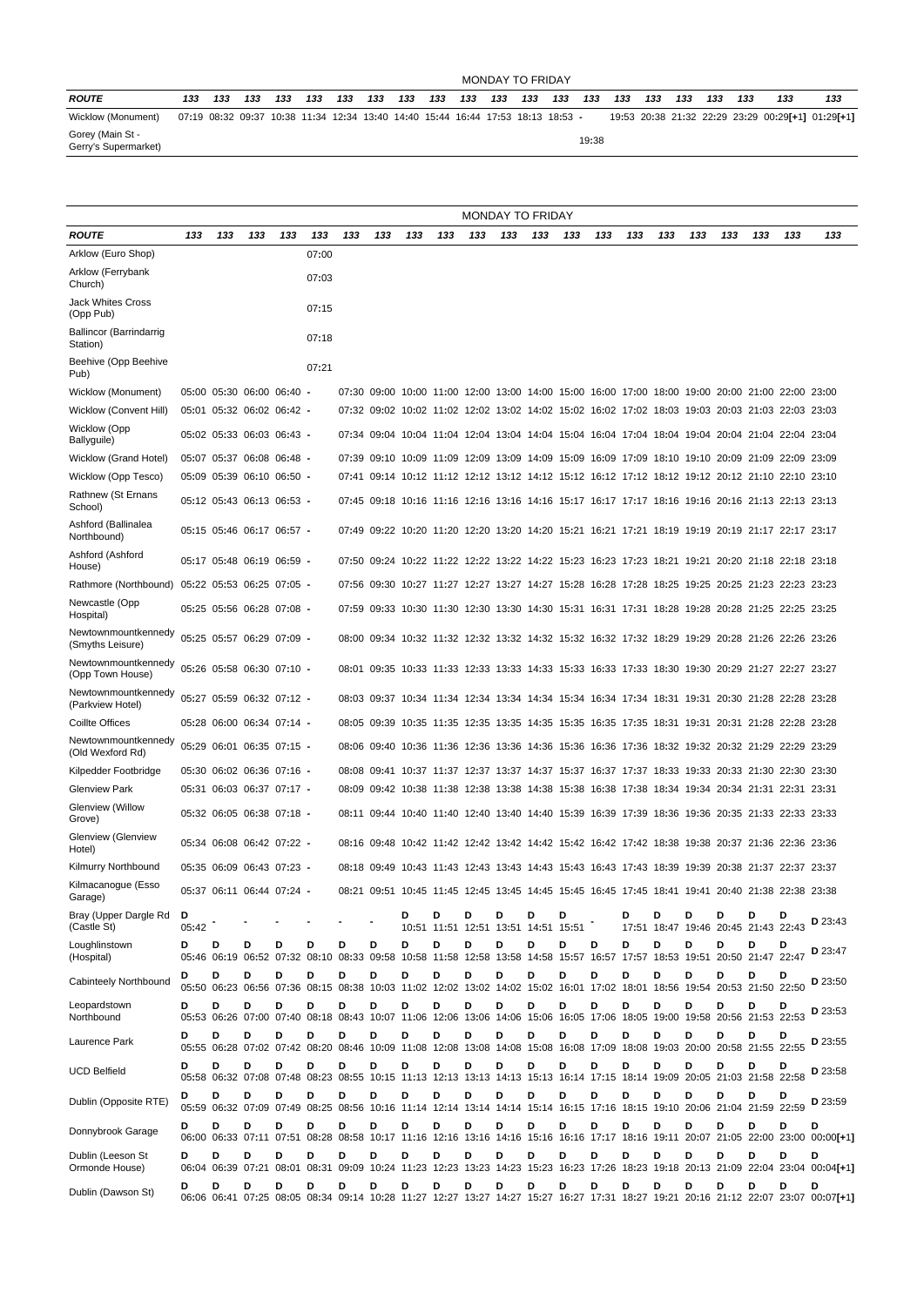### MONDAY TO FRIDAY

| <b>ROUTE</b>                             | 133 | 133 | 133 | 133 | 133 | 133 | 133 | 133 | 133 | 133 | 133 | 133 | 133                                                                             | 133   | 133 | 133 | 133 | 133 | 133 | 133 | 133                                               |
|------------------------------------------|-----|-----|-----|-----|-----|-----|-----|-----|-----|-----|-----|-----|---------------------------------------------------------------------------------|-------|-----|-----|-----|-----|-----|-----|---------------------------------------------------|
| Wicklow (Monument)                       |     |     |     |     |     |     |     |     |     |     |     |     | 07:19 08:32 09:37 10:38 11:34 12:34 13:40 14:40 15:44 16:44 17:53 18:13 18:53 - |       |     |     |     |     |     |     | 19:53 20:38 21:32 22:29 23:29 00:29[+1] 01:29[+1] |
| Gorey (Main St -<br>Gerry's Supermarket) |     |     |     |     |     |     |     |     |     |     |     |     |                                                                                 | 19:38 |     |     |     |     |     |     |                                                   |

|                                         | <b>MONDAY TO FRIDAY</b> |                           |     |     |                                                                                                                              |       |                               |     |     |     |             |                                          |     |             |     |     |     |     |     |                                                                                                 |                                                                                                                                        |
|-----------------------------------------|-------------------------|---------------------------|-----|-----|------------------------------------------------------------------------------------------------------------------------------|-------|-------------------------------|-----|-----|-----|-------------|------------------------------------------|-----|-------------|-----|-----|-----|-----|-----|-------------------------------------------------------------------------------------------------|----------------------------------------------------------------------------------------------------------------------------------------|
| <b>ROUTE</b>                            | 133                     | 133                       | 133 | 133 | 133                                                                                                                          | 133   | 133                           | 133 | 133 | 133 | 133         | 133                                      | 133 | 133         | 133 | 133 | 133 | 133 | 133 | 133                                                                                             | 133                                                                                                                                    |
| Arklow (Euro Shop)                      |                         |                           |     |     | 07:00                                                                                                                        |       |                               |     |     |     |             |                                          |     |             |     |     |     |     |     |                                                                                                 |                                                                                                                                        |
| Arklow (Ferrybank<br>Church)            |                         |                           |     |     | 07:03                                                                                                                        |       |                               |     |     |     |             |                                          |     |             |     |     |     |     |     |                                                                                                 |                                                                                                                                        |
| <b>Jack Whites Cross</b><br>(Opp Pub)   |                         |                           |     |     | 07:15                                                                                                                        |       |                               |     |     |     |             |                                          |     |             |     |     |     |     |     |                                                                                                 |                                                                                                                                        |
| Ballincor (Barrindarrig<br>Station)     |                         |                           |     |     | 07:18                                                                                                                        |       |                               |     |     |     |             |                                          |     |             |     |     |     |     |     |                                                                                                 |                                                                                                                                        |
| Beehive (Opp Beehive<br>Pub)            |                         |                           |     |     | 07:21                                                                                                                        |       |                               |     |     |     |             |                                          |     |             |     |     |     |     |     |                                                                                                 |                                                                                                                                        |
| Wicklow (Monument)                      |                         | 05:00 05:30 06:00 06:40 - |     |     |                                                                                                                              |       |                               |     |     |     |             |                                          |     |             |     |     |     |     |     | 07:30 09:00 10:00 11:00 12:00 13:00 14:00 15:00 16:00 17:00 18:00 19:00 20:00 21:00 22:00 23:00 |                                                                                                                                        |
| Wicklow (Convent Hill)                  |                         | 05:01 05:32 06:02 06:42 - |     |     |                                                                                                                              |       |                               |     |     |     |             |                                          |     |             |     |     |     |     |     | 07:32 09:02 10:02 11:02 12:02 13:02 14:02 15:02 16:02 17:02 18:03 19:03 20:03 21:03 22:03 23:03 |                                                                                                                                        |
| <b>Wicklow</b> (Opp<br>Ballyguile)      |                         | 05:02 05:33 06:03 06:43 - |     |     |                                                                                                                              |       |                               |     |     |     |             |                                          |     |             |     |     |     |     |     | 07:34 09:04 10:04 11:04 12:04 13:04 14:04 15:04 16:04 17:04 18:04 19:04 20:04 21:04 22:04 23:04 |                                                                                                                                        |
| Wicklow (Grand Hotel)                   |                         | 05:07 05:37 06:08 06:48 - |     |     |                                                                                                                              |       |                               |     |     |     |             |                                          |     |             |     |     |     |     |     | 07:39 09:10 10:09 11:09 12:09 13:09 14:09 15:09 16:09 17:09 18:10 19:10 20:09 21:09 22:09 23:09 |                                                                                                                                        |
| Wicklow (Opp Tesco)                     |                         | 05:09 05:39 06:10 06:50 - |     |     |                                                                                                                              |       |                               |     |     |     |             |                                          |     |             |     |     |     |     |     | 07:41 09:14 10:12 11:12 12:12 13:12 14:12 15:12 16:12 17:12 18:12 19:12 20:12 21:10 22:10 23:10 |                                                                                                                                        |
| Rathnew (St Ernans<br>School)           |                         | 05:12 05:43 06:13 06:53 - |     |     |                                                                                                                              |       |                               |     |     |     |             |                                          |     |             |     |     |     |     |     | 07:45 09:18 10:16 11:16 12:16 13:16 14:16 15:17 16:17 17:17 18:16 19:16 20:16 21:13 22:13 23:13 |                                                                                                                                        |
| Ashford (Ballinalea<br>Northbound)      |                         | 05:15 05:46 06:17 06:57 - |     |     |                                                                                                                              |       |                               |     |     |     |             |                                          |     |             |     |     |     |     |     | 07:49 09:22 10:20 11:20 12:20 13:20 14:20 15:21 16:21 17:21 18:19 19:19 20:19 21:17 22:17 23:17 |                                                                                                                                        |
| Ashford (Ashford<br>House)              |                         | 05:17 05:48 06:19 06:59 - |     |     |                                                                                                                              | 07:50 |                               |     |     |     |             |                                          |     |             |     |     |     |     |     | 09:24 10:22 11:22 12:22 13:22 14:22 15:23 16:23 17:23 18:21 19:21 20:20 21:18 22:18 23:18       |                                                                                                                                        |
| Rathmore (Northbound)                   |                         | 05:22 05:53 06:25 07:05 - |     |     |                                                                                                                              |       |                               |     |     |     |             |                                          |     |             |     |     |     |     |     | 07:56 09:30 10:27 11:27 12:27 13:27 14:27 15:28 16:28 17:28 18:25 19:25 20:25 21:23 22:23 23:23 |                                                                                                                                        |
| Newcastle (Opp<br>Hospital)             |                         | 05:25 05:56 06:28 07:08 - |     |     |                                                                                                                              |       |                               |     |     |     |             |                                          |     |             |     |     |     |     |     | 07:59 09:33 10:30 11:30 12:30 13:30 14:30 15:31 16:31 17:31 18:28 19:28 20:28 21:25 22:25 23:25 |                                                                                                                                        |
| Newtownmountkennedy<br>(Smyths Leisure) |                         | 05:25 05:57 06:29 07:09 - |     |     |                                                                                                                              |       |                               |     |     |     |             |                                          |     |             |     |     |     |     |     | 08:00 09:34 10:32 11:32 12:32 13:32 14:32 15:32 16:32 17:32 18:29 19:29 20:28 21:26 22:26 23:26 |                                                                                                                                        |
| Newtownmountkennedy<br>(Opp Town House) |                         | 05:26 05:58 06:30 07:10 - |     |     |                                                                                                                              |       |                               |     |     |     |             |                                          |     |             |     |     |     |     |     | 08:01 09:35 10:33 11:33 12:33 13:33 14:33 15:33 16:33 17:33 18:30 19:30 20:29 21:27 22:27 23:27 |                                                                                                                                        |
| Newtownmountkennedy<br>(Parkview Hotel) |                         | 05:27 05:59 06:32 07:12 - |     |     |                                                                                                                              |       |                               |     |     |     |             |                                          |     |             |     |     |     |     |     | 08:03 09:37 10:34 11:34 12:34 13:34 14:34 15:34 16:34 17:34 18:31 19:31 20:30 21:28 22:28 23:28 |                                                                                                                                        |
| <b>Coillte Offices</b>                  |                         | 05:28 06:00 06:34 07:14   |     |     |                                                                                                                              |       |                               |     |     |     |             |                                          |     |             |     |     |     |     |     | 08:05 09:39 10:35 11:35 12:35 13:35 14:35 15:35 16:35 17:35 18:31 19:31 20:31 21:28 22:28 23:28 |                                                                                                                                        |
| Newtownmountkennedy<br>(Old Wexford Rd) |                         | 05:29 06:01 06:35 07:15 - |     |     |                                                                                                                              |       | 08:06 09:40 10:36 11:36 12:36 |     |     |     | 13:36 14:36 |                                          |     | 15:36 16:36 |     |     |     |     |     | 17:36 18:32 19:32 20:32 21:29 22:29 23:29                                                       |                                                                                                                                        |
| Kilpedder Footbridge                    |                         | 05:30 06:02 06:36 07:16 - |     |     |                                                                                                                              |       |                               |     |     |     |             |                                          |     |             |     |     |     |     |     | 08:08 09:41 10:37 11:37 12:37 13:37 14:37 15:37 16:37 17:37 18:33 19:33 20:33 21:30 22:30 23:30 |                                                                                                                                        |
| <b>Glenview Park</b>                    |                         | 05:31 06:03 06:37 07:17   |     |     |                                                                                                                              |       |                               |     |     |     |             |                                          |     |             |     |     |     |     |     | 08:09 09:42 10:38 11:38 12:38 13:38 14:38 15:38 16:38 17:38 18:34 19:34 20:34 21:31 22:31 23:31 |                                                                                                                                        |
| Glenview (Willow<br>Grove)              |                         | 05:32 06:05 06:38 07:18 - |     |     |                                                                                                                              |       |                               |     |     |     |             |                                          |     |             |     |     |     |     |     | 08:11 09:44 10:40 11:40 12:40 13:40 14:40 15:39 16:39 17:39 18:36 19:36 20:35 21:33 22:33 23:33 |                                                                                                                                        |
| Glenview (Glenview<br>Hotel)            |                         | 05:34 06:08 06:42 07:22 - |     |     |                                                                                                                              |       |                               |     |     |     |             |                                          |     |             |     |     |     |     |     | 08:16 09:48 10:42 11:42 12:42 13:42 14:42 15:42 16:42 17:42 18:38 19:38 20:37 21:36 22:36 23:36 |                                                                                                                                        |
| Kilmurry Northbound                     |                         | 05:35 06:09 06:43 07:23 - |     |     |                                                                                                                              |       |                               |     |     |     |             |                                          |     |             |     |     |     |     |     | 08:18 09:49 10:43 11:43 12:43 13:43 14:43 15:43 16:43 17:43 18:39 19:39 20:38 21:37 22:37 23:37 |                                                                                                                                        |
| Kilmacanogue (Esso<br>Garage)           |                         | 05:37 06:11 06:44 07:24 - |     |     |                                                                                                                              |       |                               |     |     |     |             |                                          |     |             |     |     |     |     |     | 08:21 09:51 10:45 11:45 12:45 13:45 14:45 15:45 16:45 17:45 18:41 19:41 20:40 21:38 22:38 23:38 |                                                                                                                                        |
| Bray (Upper Dargle Rd<br>(Castle St)    | D<br>05:42              |                           |     |     |                                                                                                                              |       |                               | D   | D   | D   | D           | D<br>10:51 11:51 12:51 13:51 14:51 15:51 | D   |             | D   | D   | D   | D   | D   | D<br>17:51 18:47 19:46 20:45 21:43 22:43                                                        | D 23:43                                                                                                                                |
| Loughlinstown<br>(Hospital)             | D                       | D                         | D   | D   | D<br>05:46 06:19 06:52 07:32 08:10 08:33 09:58 10:58 11:58 12:58 13:58 14:58 15:57 16:57 17:57 18:53 19:51 20:50 21:47 22:47 | D     | D                             | D   | D   | D   | D           | D                                        | D   | D           | D   | D   | D   | D   | D   |                                                                                                 | D 23:47                                                                                                                                |
| Cabinteely Northbound                   | D                       | D                         | D   | D   | D<br>05:50 06:23 06:56 07:36 08:15 08:38 10:03 11:02 12:02 13:02 14:02 15:02 16:01 17:02 18:01 18:56 19:54 20:53 21:50 22:50 | D     | D                             | D   | D   | D   | D           | D                                        | D   | D           | D   | D   | D   | D   | D   |                                                                                                 | D 23:50                                                                                                                                |
| Leopardstown<br>Northbound              | D                       | D                         | D   | D   | D<br>05:53 06:26 07:00 07:40 08:18 08:43 10:07 11:06 12:06 13:06 14:06 15:06 16:05 17:06 18:05 19:00 19:58 20:56 21:53 22:53 | D     | D                             | D   | D   | D   | D           | D                                        | D   | D           | D   | D   | D   | D   | D   | D                                                                                               | D 23:53                                                                                                                                |
| Laurence Park                           | D                       | D                         | D   | D   | D<br>05:55 06:28 07:02 07:42 08:20 08:46 10:09 11:08 12:08 13:08 14:08 15:08 16:08 17:09 18:08 19:03 20:00 20:58 21:55 22:55 | D     | D                             | D   | D   | D   | D           | D                                        | D   | D           | D   | D   | D   | D   | D   |                                                                                                 | D 23:55                                                                                                                                |
| <b>UCD Belfield</b>                     | D                       | D                         | D   | D   | D<br>05:58 06:32 07:08 07:48 08:23 08:55 10:15 11:13 12:13 13:13 14:13 15:13 16:14 17:15 18:14 19:09 20:05 21:03 21:58 22:58 | D     | D                             | D   | D   | D   | D           | D                                        | D   | D           | D   | D   | D   | D   | D   |                                                                                                 | D 23:58                                                                                                                                |
| Dublin (Opposite RTE)                   | D                       | D                         | D   | D   | D<br>05:59 06:32 07:09 07:49 08:25 08:56 10:16 11:14 12:14 13:14 14:14 15:14 16:15 17:16 18:15 19:10 20:06 21:04 21:59 22:59 | D     | D                             | D   | D   | D   | D           | D                                        | D   | D           | D   | D   | D   | D   | D   |                                                                                                 | D 23:59                                                                                                                                |
| Donnybrook Garage                       | D                       | D                         | D   | D   | D                                                                                                                            | D     | D                             | D   | D   | D   | D           | D                                        | D   | D           | D   | D   | D   | D   | D   | D                                                                                               | D<br>06:00 06:33 07:11 07:51 08:28 08:58 10:17 11:16 12:16 13:16 14:16 15:16 16:16 17:17 18:16 19:11 20:07 21:05 22:00 23:00 00:00[+1] |
| Dublin (Leeson St<br>Ormonde House)     | D                       | D                         | D   | D   | D                                                                                                                            | D     | D                             | D   | D   | D   | D           | D                                        | D   | D           | D   | D   | D   | D   | D   | D                                                                                               | D<br>06:04 06:39 07:21 08:01 08:31 09:09 10:24 11:23 12:23 13:23 14:23 15:23 16:23 17:26 18:23 19:18 20:13 21:09 22:04 23:04 00:04[+1] |
| Dublin (Dawson St)                      | D                       | D                         | D   | D   | D                                                                                                                            | D     | D                             | D   | D   | D   | D           | D                                        | D   | D           | D   | D   | D   | D   | D   | D                                                                                               | D<br>06:06 06:41 07:25 08:05 08:34 09:14 10:28 11:27 12:27 13:27 14:27 15:27 16:27 17:31 18:27 19:21 20:16 21:12 22:07 23:07 00:07[+1] |